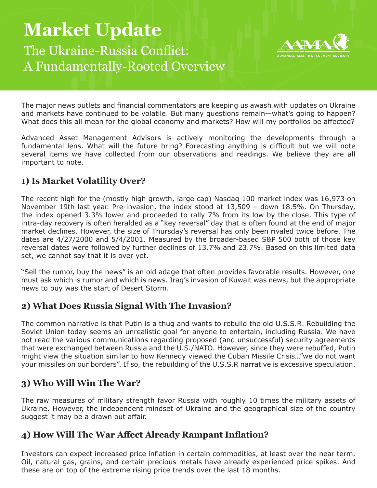# **Market Update**  The Ukraine-Russia Conflict: A Fundamentally-Rooted Overview



The major news outlets and financial commentators are keeping us awash with updates on Ukraine and markets have continued to be volatile. But many questions remain—what's going to happen? What does this all mean for the global economy and markets? How will my portfolios be affected?

Advanced Asset Management Advisors is actively monitoring the developments through a fundamental lens. What will the future bring? Forecasting anything is difficult but we will note several items we have collected from our observations and readings. We believe they are all important to note.

# **1) Is Market Volatility Over?**

The recent high for the (mostly high growth, large cap) Nasdaq 100 market index was 16,973 on November 19th last year. Pre-invasion, the index stood at 13,509 – down 18.5%. On Thursday, the index opened 3.3% lower and proceeded to rally 7% from its low by the close. This type of intra-day recovery is often heralded as a "key reversal" day that is often found at the end of major market declines. However, the size of Thursday's reversal has only been rivaled twice before. The dates are 4/27/2000 and 5/4/2001. Measured by the broader-based S&P 500 both of those key reversal dates were followed by further declines of 13.7% and 23.7%. Based on this limited data set, we cannot say that it is over yet.

"Sell the rumor, buy the news" is an old adage that often provides favorable results. However, one must ask which is rumor and which is news. Iraq's invasion of Kuwait was news, but the appropriate news to buy was the start of Desert Storm.

# **2) What Does Russia Signal With The Invasion?**

The common narrative is that Putin is a thug and wants to rebuild the old U.S.S.R. Rebuilding the Soviet Union today seems an unrealistic goal for anyone to entertain, including Russia. We have not read the various communications regarding proposed (and unsuccessful) security agreements that were exchanged between Russia and the U.S./NATO. However, since they were rebuffed, Putin might view the situation similar to how Kennedy viewed the Cuban Missile Crisis…"we do not want your missiles on our borders". If so, the rebuilding of the U.S.S.R narrative is excessive speculation.

# **3) Who Will Win The War?**

The raw measures of military strength favor Russia with roughly 10 times the military assets of Ukraine. However, the independent mindset of Ukraine and the geographical size of the country suggest it may be a drawn out affair.

# **4) How Will The War Affect Already Rampant Inflation?**

Investors can expect increased price inflation in certain commodities, at least over the near term. Oil, natural gas, grains, and certain precious metals have already experienced price spikes. And these are on top of the extreme rising price trends over the last 18 months.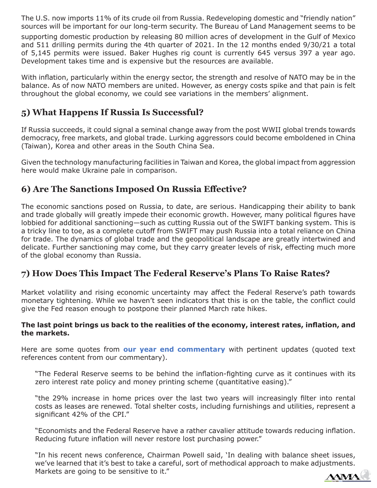The U.S. now imports 11% of its crude oil from Russia. Redeveloping domestic and "friendly nation" sources will be important for our long-term security. The Bureau of Land Management seems to be

supporting domestic production by releasing 80 million acres of development in the Gulf of Mexico and 511 drilling permits during the 4th quarter of 2021. In the 12 months ended 9/30/21 a total of 5,145 permits were issued. Baker Hughes rig count is currently 645 versus 397 a year ago. Development takes time and is expensive but the resources are available.

With inflation, particularly within the energy sector, the strength and resolve of NATO may be in the balance. As of now NATO members are united. However, as energy costs spike and that pain is felt throughout the global economy, we could see variations in the members' alignment.

#### **5) What Happens If Russia Is Successful?**

If Russia succeeds, it could signal a seminal change away from the post WWII global trends towards democracy, free markets, and global trade. Lurking aggressors could become emboldened in China (Taiwan), Korea and other areas in the South China Sea.

Given the technology manufacturing facilities in Taiwan and Korea, the global impact from aggression here would make Ukraine pale in comparison.

### **6) Are The Sanctions Imposed On Russia Effective?**

The economic sanctions posed on Russia, to date, are serious. Handicapping their ability to bank and trade globally will greatly impede their economic growth. However, many political figures have lobbied for additional sanctioning—such as cutting Russia out of the SWIFT banking system. This is a tricky line to toe, as a complete cutoff from SWIFT may push Russia into a total reliance on China for trade. The dynamics of global trade and the geopolitical landscape are greatly intertwined and delicate. Further sanctioning may come, but they carry greater levels of risk, effecting much more of the global economy than Russia.

#### **7) How Does This Impact The Federal Reserve's Plans To Raise Rates?**

Market volatility and rising economic uncertainty may affect the Federal Reserve's path towards monetary tightening. While we haven't seen indicators that this is on the table, the conflict could give the Fed reason enough to postpone their planned March rate hikes.

#### **The last point brings us back to the realities of the economy, interest rates, inflation, and the markets.**

Here are some quotes from **[our year end commentary](https://aamaweb.com/wp-content/uploads/2022/01/AAMA-Market-Commentary-12.31.21.pdf)** with pertinent updates (quoted text references content from our commentary).

"The Federal Reserve seems to be behind the inflation-fighting curve as it continues with its zero interest rate policy and money printing scheme (quantitative easing)."

"the 29% increase in home prices over the last two years will increasingly filter into rental costs as leases are renewed. Total shelter costs, including furnishings and utilities, represent a significant 42% of the CPI."

"Economists and the Federal Reserve have a rather cavalier attitude towards reducing inflation. Reducing future inflation will never restore lost purchasing power."

"In his recent news conference, Chairman Powell said, 'In dealing with balance sheet issues, we've learned that it's best to take a careful, sort of methodical approach to make adjustments. Markets are going to be sensitive to it."